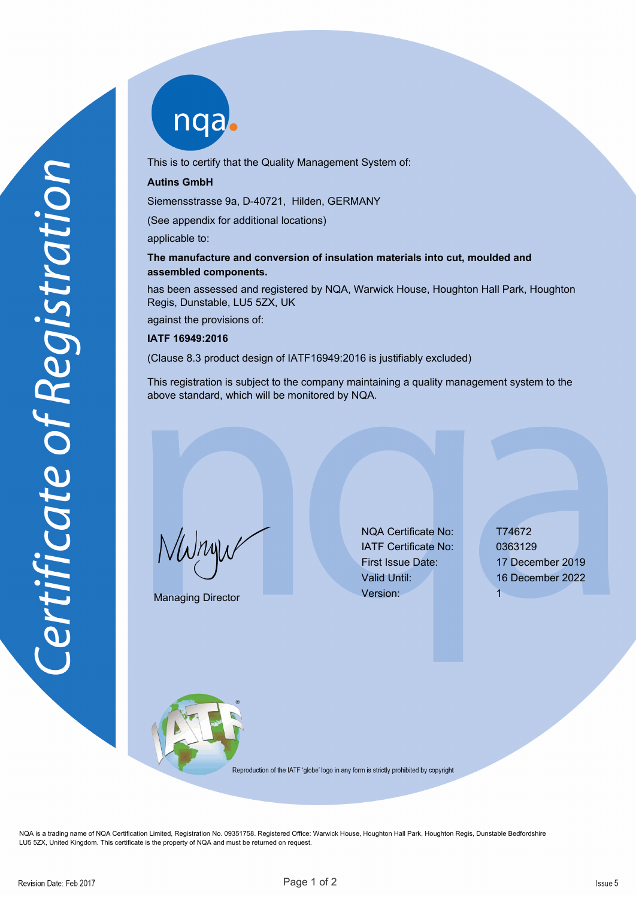nqab

This is to certify that the Quality Management System of:

## **Autins GmbH**

Siemensstrasse 9a, D-40721, Hilden, GERMANY

(See appendix for additional locations)

applicable to:

## **The manufacture and conversion of insulation materials into cut, moulded and assembled components.**

has been assessed and registered by NQA, Warwick House, Houghton Hall Park, Houghton Regis, Dunstable, LU5 5ZX, UK

against the provisions of:

## **IATF 16949:2016**

(Clause 8.3 product design of IATF16949:2016 is justifiably excluded)

This registration is subject to the company maintaining a quality management system to the above standard, which will be monitored by NQA.

NWnyw

Managing Director

NQA Certificate No: T74672 IATF Certificate No: 0363129 Version: 1

First Issue Date: 17 December 2019 Valid Until: 16 December 2022



Reproduction of the IATF 'globe' logo in any form is strictly prohibited by copyright

NQA is a trading name of NQA Certification Limited, Registration No. 09351758. Registered Office: Warwick House, Houghton Hall Park, Houghton Regis, Dunstable Bedfordshire LU5 5ZX, United Kingdom. This certificate is the property of NQA and must be returned on request.